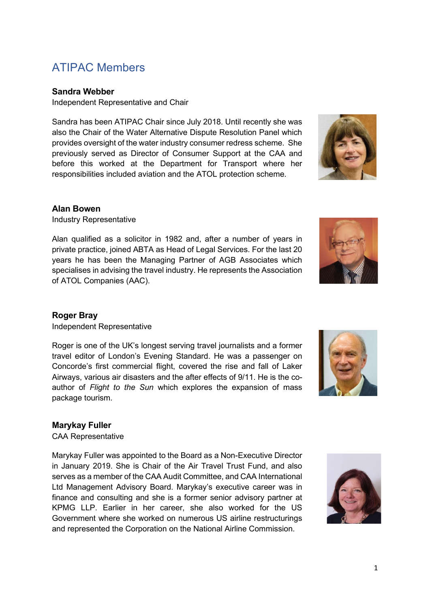# ATIPAC Members

## **Sandra Webber**

Independent Representative and Chair

Sandra has been ATIPAC Chair since July 2018. Until recently she was also the Chair of the Water Alternative Dispute Resolution Panel which provides oversight of the water industry consumer redress scheme. She previously served as Director of Consumer Support at the CAA and before this worked at the Department for Transport where her responsibilities included aviation and the ATOL protection scheme.

## **Alan Bowen**

Industry Representative

Alan qualified as a solicitor in 1982 and, after a number of years in private practice, joined ABTA as Head of Legal Services. For the last 20 years he has been the Managing Partner of AGB Associates which specialises in advising the travel industry. He represents the Association of ATOL Companies (AAC).

# **Roger Bray**

Independent Representative

Roger is one of the UK's longest serving travel journalists and a former travel editor of London's Evening Standard. He was a passenger on Concorde's first commercial flight, covered the rise and fall of Laker Airways, various air disasters and the after effects of 9/11. He is the coauthor of *Flight to the Sun* which explores the expansion of mass package tourism.

#### **Marykay Fuller**

CAA Representative

Marykay Fuller was appointed to the Board as a Non-Executive Director in January 2019. She is Chair of the Air Travel Trust Fund, and also serves as a member of the CAA Audit Committee, and CAA International Ltd Management Advisory Board. Marykay's executive career was in finance and consulting and she is a former senior advisory partner at KPMG LLP. Earlier in her career, she also worked for the US Government where she worked on numerous US airline restructurings and represented the Corporation on the National Airline Commission.







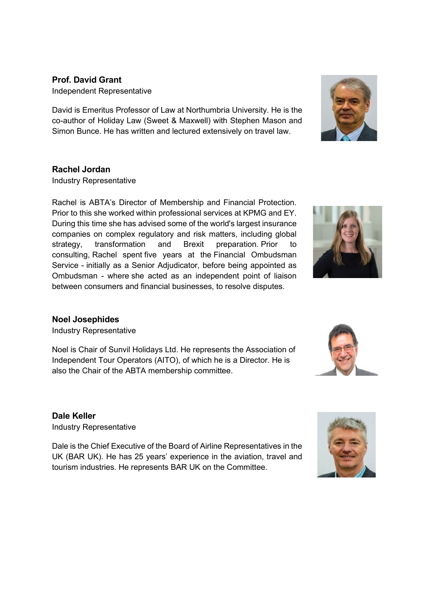# **Prof. David Grant** Independent Representative

David is Emeritus Professor of Law at Northumbria University. He is the co-author of Holiday Law (Sweet & Maxwell) with Stephen Mason and Simon Bunce. He has written and lectured extensively on travel law.

# **Rachel Jordan**

Industry Representative

Rachel is ABTA's Director of Membership and Financial Protection. Prior to this she worked within professional services at KPMG and EY. During this time she has advised some of the world's largest insurance companies on complex regulatory and risk matters, including global strategy, transformation and Brexit preparation. Prior to consulting, Rachel spent five years at the Financial Ombudsman Service - initially as a Senior Adjudicator, before being appointed as Ombudsman - where she acted as an independent point of liaison between consumers and financial businesses, to resolve disputes.

# **Noel Josephides**

Industry Representative

Noel is Chair of Sunvil Holidays Ltd. He represents the Association of Independent Tour Operators (AITO), of which he is a Director. He is also the Chair of the ABTA membership committee.

**Dale Keller**

Industry Representative

Dale is the Chief Executive of the Board of Airline Representatives in the UK (BAR UK). He has 25 years' experience in the aviation, travel and tourism industries. He represents BAR UK on the Committee.







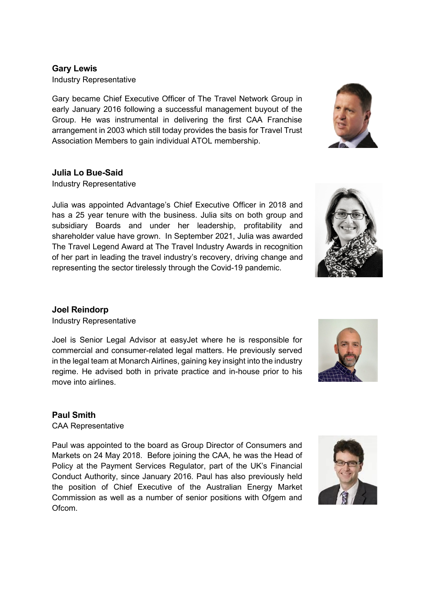## **Gary Lewis**

Industry Representative

Gary became Chief Executive Officer of The Travel Network Group in early January 2016 following a successful management buyout of the Group. He was instrumental in delivering the first CAA Franchise arrangement in 2003 which still today provides the basis for Travel Trust Association Members to gain individual ATOL membership.

# **Julia Lo Bue-Said**

Industry Representative

Julia was appointed Advantage's Chief Executive Officer in 2018 and has a 25 year tenure with the business. Julia sits on both group and subsidiary Boards and under her leadership, profitability and shareholder value have grown. In September 2021, Julia was awarded The Travel Legend Award at The Travel Industry Awards in recognition of her part in leading the travel industry's recovery, driving change and representing the sector tirelessly through the Covid-19 pandemic.

#### **Joel Reindorp**

Industry Representative

Joel is Senior Legal Advisor at easyJet where he is responsible for commercial and consumer-related legal matters. He previously served in the legal team at Monarch Airlines, gaining key insight into the industry regime. He advised both in private practice and in-house prior to his move into airlines.

# **Paul Smith**

CAA Representative

Paul was appointed to the board as Group Director of Consumers and Markets on 24 May 2018. Before joining the CAA, he was the Head of Policy at the Payment Services Regulator, part of the UK's Financial Conduct Authority, since January 2016. Paul has also previously held the position of Chief Executive of the Australian Energy Market Commission as well as a number of senior positions with Ofgem and Ofcom.